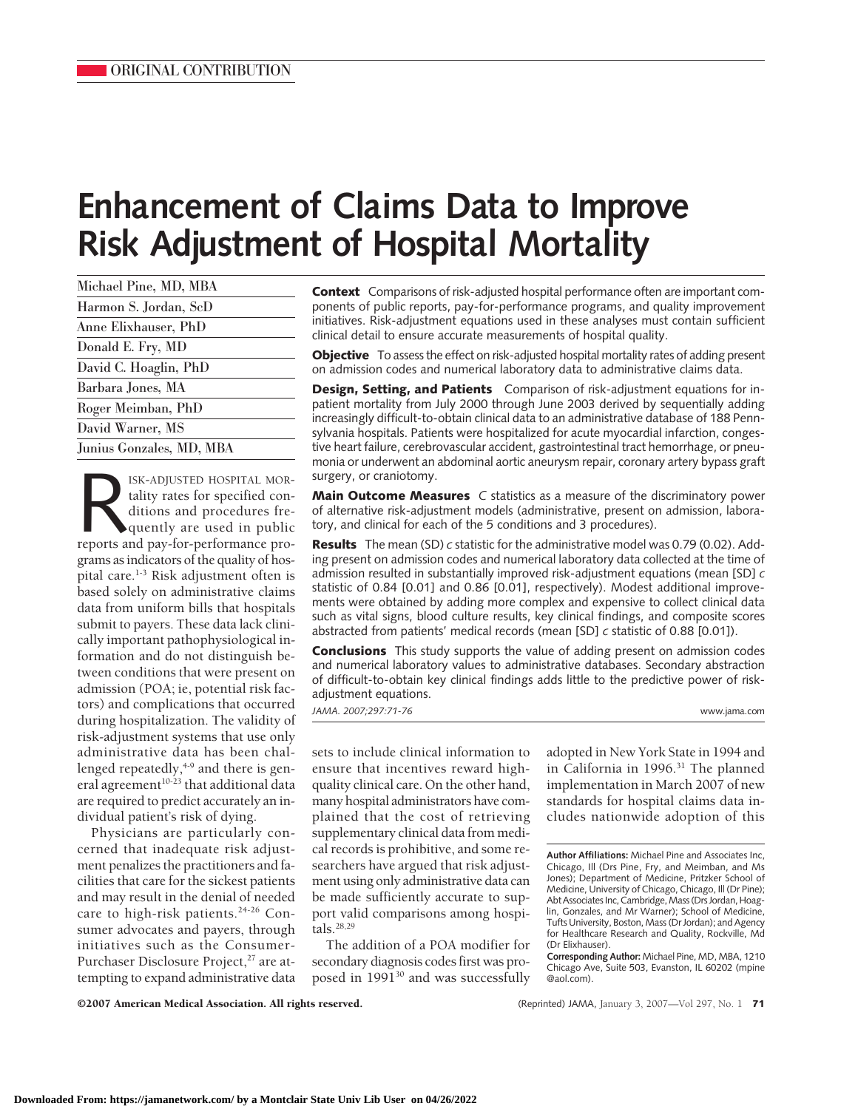# **Enhancement of Claims Data to Improve Risk Adjustment of Hospital Mortality**

| Michael Pine, MD, MBA    |
|--------------------------|
| Harmon S. Jordan, ScD    |
| Anne Elixhauser, PhD     |
| Donald E. Fry, MD        |
| David C. Hoaglin, PhD    |
| Barbara Jones, MA        |
| Roger Meimban, PhD       |
| David Warner, MS         |
| Junius Gonzales, MD, MBA |
|                          |

ERRISK-ADJUSTED HOSPITAL MOR-<br>
ditions and procedures fre-<br>
quently are used in public<br>
reports and pay-for-performance protality rates for specified conditions and procedures frequently are used in public grams as indicators of the quality of hospital care.<sup>1-3</sup> Risk adjustment often is based solely on administrative claims data from uniform bills that hospitals submit to payers. These data lack clinically important pathophysiological information and do not distinguish between conditions that were present on admission (POA; ie, potential risk factors) and complications that occurred during hospitalization. The validity of risk-adjustment systems that use only administrative data has been challenged repeatedly,<sup>4-9</sup> and there is general agreement<sup>10-23</sup> that additional data are required to predict accurately an individual patient's risk of dying.

Physicians are particularly concerned that inadequate risk adjustment penalizes the practitioners and facilities that care for the sickest patients and may result in the denial of needed care to high-risk patients.<sup>24-26</sup> Consumer advocates and payers, through initiatives such as the Consumer-Purchaser Disclosure Project,<sup>27</sup> are attempting to expand administrative data

**Context** Comparisons of risk-adjusted hospital performance often are important components of public reports, pay-for-performance programs, and quality improvement initiatives. Risk-adjustment equations used in these analyses must contain sufficient clinical detail to ensure accurate measurements of hospital quality.

**Objective** To assess the effect on risk-adjusted hospital mortality rates of adding present on admission codes and numerical laboratory data to administrative claims data.

**Design, Setting, and Patients** Comparison of risk-adjustment equations for inpatient mortality from July 2000 through June 2003 derived by sequentially adding increasingly difficult-to-obtain clinical data to an administrative database of 188 Pennsylvania hospitals. Patients were hospitalized for acute myocardial infarction, congestive heart failure, cerebrovascular accident, gastrointestinal tract hemorrhage, or pneumonia or underwent an abdominal aortic aneurysm repair, coronary artery bypass graft surgery, or craniotomy.

**Main Outcome Measures** *C* statistics as a measure of the discriminatory power of alternative risk-adjustment models (administrative, present on admission, laboratory, and clinical for each of the 5 conditions and 3 procedures).

**Results** The mean (SD) *c* statistic for the administrative model was 0.79 (0.02). Adding present on admission codes and numerical laboratory data collected at the time of admission resulted in substantially improved risk-adjustment equations (mean [SD] *c* statistic of 0.84 [0.01] and 0.86 [0.01], respectively). Modest additional improvements were obtained by adding more complex and expensive to collect clinical data such as vital signs, blood culture results, key clinical findings, and composite scores abstracted from patients' medical records (mean [SD] *c* statistic of 0.88 [0.01]).

**Conclusions** This study supports the value of adding present on admission codes and numerical laboratory values to administrative databases. Secondary abstraction of difficult-to-obtain key clinical findings adds little to the predictive power of riskadjustment equations.

*JAMA. 2007;297:71-76* www.jama.com

sets to include clinical information to ensure that incentives reward highquality clinical care. On the other hand, many hospital administrators have complained that the cost of retrieving supplementary clinical data from medical records is prohibitive, and some researchers have argued that risk adjustment using only administrative data can be made sufficiently accurate to support valid comparisons among hospitals.<sup>28,29</sup>

The addition of a POA modifier for secondary diagnosis codes first was proposed in 1991<sup>30</sup> and was successfully

adopted in New York State in 1994 and in California in 1996.<sup>31</sup> The planned implementation in March 2007 of new standards for hospital claims data includes nationwide adoption of this

©2007 American Medical Association. All rights reserved. (Reprinted) JAMA, January 3, 2007—Vol 297, No. 1 **71**

**Author Affiliations:** Michael Pine and Associates Inc, Chicago, Ill (Drs Pine, Fry, and Meimban, and Ms Jones); Department of Medicine, Pritzker School of Medicine, University of Chicago, Chicago, Ill (Dr Pine); Abt Associates Inc, Cambridge, Mass (Drs Jordan, Hoaglin, Gonzales, and Mr Warner); School of Medicine, Tufts University, Boston, Mass (Dr Jordan); and Agency for Healthcare Research and Quality, Rockville, Md (Dr Elixhauser).

**Corresponding Author:** Michael Pine, MD, MBA, 1210 Chicago Ave, Suite 503, Evanston, IL 60202 (mpine @aol.com).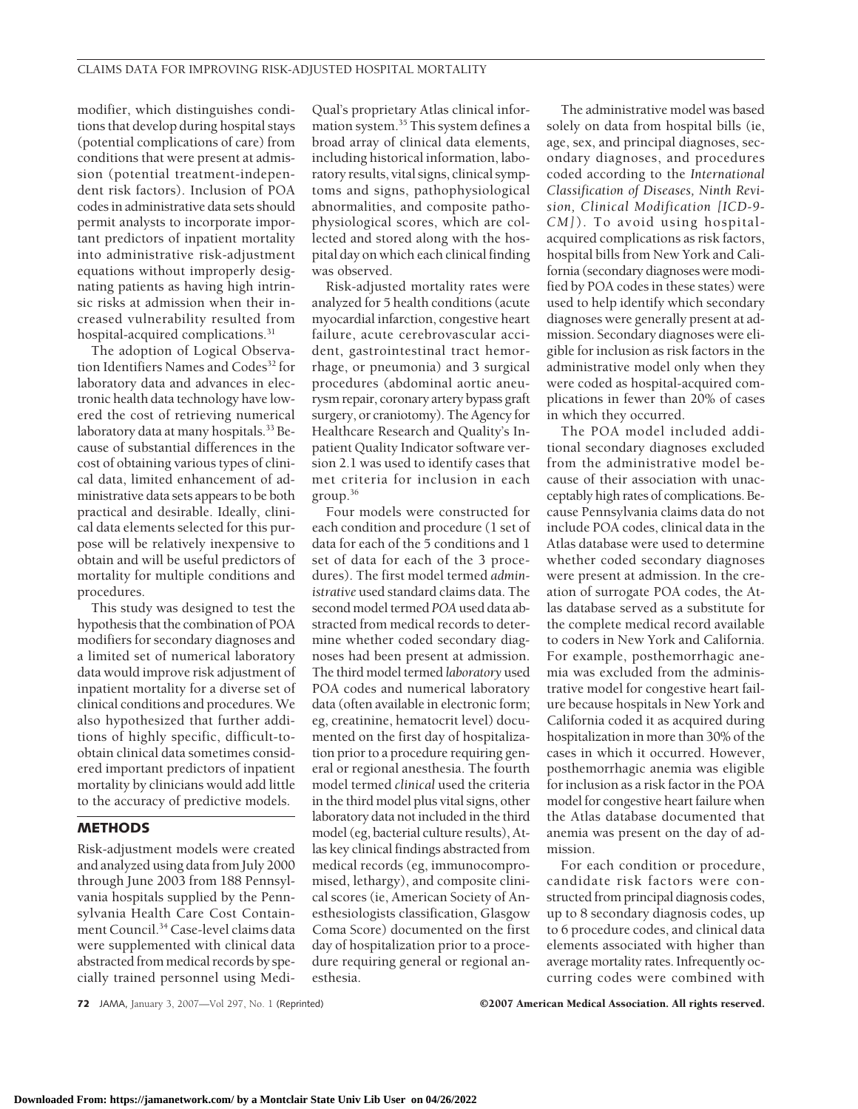modifier, which distinguishes conditions that develop during hospital stays (potential complications of care) from conditions that were present at admission (potential treatment-independent risk factors). Inclusion of POA codes in administrative data sets should permit analysts to incorporate important predictors of inpatient mortality into administrative risk-adjustment equations without improperly designating patients as having high intrinsic risks at admission when their increased vulnerability resulted from hospital-acquired complications.<sup>31</sup>

The adoption of Logical Observation Identifiers Names and Codes<sup>32</sup> for laboratory data and advances in electronic health data technology have lowered the cost of retrieving numerical laboratory data at many hospitals.<sup>33</sup> Because of substantial differences in the cost of obtaining various types of clinical data, limited enhancement of administrative data sets appears to be both practical and desirable. Ideally, clinical data elements selected for this purpose will be relatively inexpensive to obtain and will be useful predictors of mortality for multiple conditions and procedures.

This study was designed to test the hypothesis that the combination of POA modifiers for secondary diagnoses and a limited set of numerical laboratory data would improve risk adjustment of inpatient mortality for a diverse set of clinical conditions and procedures. We also hypothesized that further additions of highly specific, difficult-toobtain clinical data sometimes considered important predictors of inpatient mortality by clinicians would add little to the accuracy of predictive models.

### **METHODS**

Risk-adjustment models were created and analyzed using data from July 2000 through June 2003 from 188 Pennsylvania hospitals supplied by the Pennsylvania Health Care Cost Containment Council.<sup>34</sup> Case-level claims data were supplemented with clinical data abstracted from medical records by specially trained personnel using MediQual's proprietary Atlas clinical information system.35 This system defines a broad array of clinical data elements, including historical information, laboratory results, vital signs, clinical symptoms and signs, pathophysiological abnormalities, and composite pathophysiological scores, which are collected and stored along with the hospital day on which each clinical finding was observed.

Risk-adjusted mortality rates were analyzed for 5 health conditions (acute myocardial infarction, congestive heart failure, acute cerebrovascular accident, gastrointestinal tract hemorrhage, or pneumonia) and 3 surgical procedures (abdominal aortic aneurysm repair, coronary artery bypass graft surgery, or craniotomy). The Agency for Healthcare Research and Quality's Inpatient Quality Indicator software version 2.1 was used to identify cases that met criteria for inclusion in each group.36

Four models were constructed for each condition and procedure (1 set of data for each of the 5 conditions and 1 set of data for each of the 3 procedures). The first model termed *administrative* used standard claims data. The second model termed *POA*used data abstracted from medical records to determine whether coded secondary diagnoses had been present at admission. The third model termed *laboratory* used POA codes and numerical laboratory data (often available in electronic form; eg, creatinine, hematocrit level) documented on the first day of hospitalization prior to a procedure requiring general or regional anesthesia. The fourth model termed *clinical* used the criteria in the third model plus vital signs, other laboratory data not included in the third model (eg, bacterial culture results), Atlas key clinical findings abstracted from medical records (eg, immunocompromised, lethargy), and composite clinical scores (ie, American Society of Anesthesiologists classification, Glasgow Coma Score) documented on the first day of hospitalization prior to a procedure requiring general or regional anesthesia.

The administrative model was based solely on data from hospital bills (ie, age, sex, and principal diagnoses, secondary diagnoses, and procedures coded according to the *International Classification of Diseases, Ninth Revision, Clinical Modification [ICD-9- CM]*). To avoid using hospitalacquired complications as risk factors, hospital bills from New York and California (secondary diagnoses were modified by POA codes in these states) were used to help identify which secondary diagnoses were generally present at admission. Secondary diagnoses were eligible for inclusion as risk factors in the administrative model only when they were coded as hospital-acquired complications in fewer than 20% of cases in which they occurred.

The POA model included additional secondary diagnoses excluded from the administrative model because of their association with unacceptably high rates of complications. Because Pennsylvania claims data do not include POA codes, clinical data in the Atlas database were used to determine whether coded secondary diagnoses were present at admission. In the creation of surrogate POA codes, the Atlas database served as a substitute for the complete medical record available to coders in New York and California. For example, posthemorrhagic anemia was excluded from the administrative model for congestive heart failure because hospitals in New York and California coded it as acquired during hospitalization in more than 30% of the cases in which it occurred. However, posthemorrhagic anemia was eligible for inclusion as a risk factor in the POA model for congestive heart failure when the Atlas database documented that anemia was present on the day of admission.

For each condition or procedure, candidate risk factors were constructed from principal diagnosis codes, up to 8 secondary diagnosis codes, up to 6 procedure codes, and clinical data elements associated with higher than average mortality rates. Infrequently occurring codes were combined with

72 JAMA, January 3, 2007—Vol 297, No. 1 (Reprinted) **C2007 American Medical Association. All rights reserved.**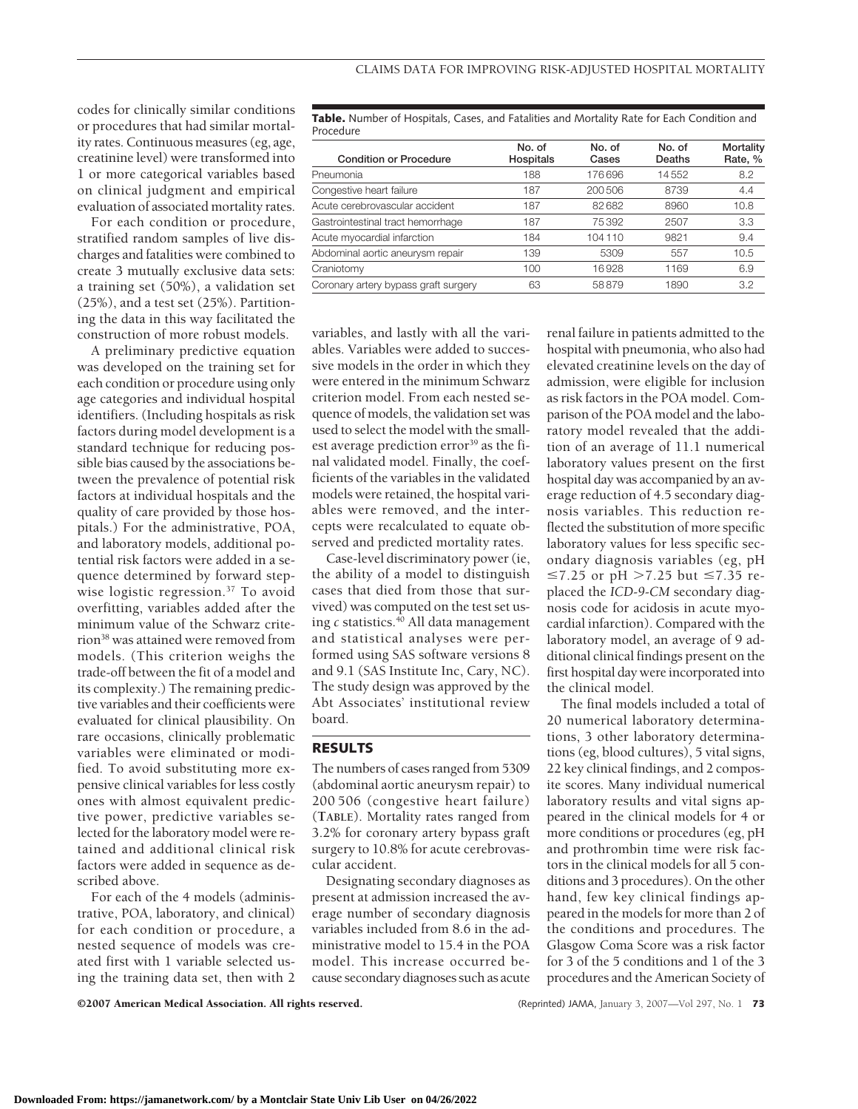codes for clinically similar conditions or procedures that had similar mortality rates. Continuous measures (eg, age, creatinine level) were transformed into 1 or more categorical variables based on clinical judgment and empirical evaluation of associated mortality rates.

For each condition or procedure, stratified random samples of live discharges and fatalities were combined to create 3 mutually exclusive data sets: a training set (50%), a validation set (25%), and a test set (25%). Partitioning the data in this way facilitated the construction of more robust models.

A preliminary predictive equation was developed on the training set for each condition or procedure using only age categories and individual hospital identifiers. (Including hospitals as risk factors during model development is a standard technique for reducing possible bias caused by the associations between the prevalence of potential risk factors at individual hospitals and the quality of care provided by those hospitals.) For the administrative, POA, and laboratory models, additional potential risk factors were added in a sequence determined by forward stepwise logistic regression.37 To avoid overfitting, variables added after the minimum value of the Schwarz criterion38 was attained were removed from models. (This criterion weighs the trade-off between the fit of a model and its complexity.) The remaining predictive variables and their coefficients were evaluated for clinical plausibility. On rare occasions, clinically problematic variables were eliminated or modified. To avoid substituting more expensive clinical variables for less costly ones with almost equivalent predictive power, predictive variables selected for the laboratory model were retained and additional clinical risk factors were added in sequence as described above.

For each of the 4 models (administrative, POA, laboratory, and clinical) for each condition or procedure, a nested sequence of models was created first with 1 variable selected using the training data set, then with 2 **Table.** Number of Hospitals, Cases, and Fatalities and Mortality Rate for Each Condition and Procedure

| <b>Condition or Procedure</b>        | No. of<br><b>Hospitals</b> | No. of<br>Cases | No. of<br>Deaths | Mortality<br>Rate, % |
|--------------------------------------|----------------------------|-----------------|------------------|----------------------|
| Pneumonia                            | 188                        | 176696          | 14552            | 8.2                  |
| Congestive heart failure             | 187                        | 200506          | 8739             | 4.4                  |
| Acute cerebrovascular accident       | 187                        | 82682           | 8960             | 10.8                 |
| Gastrointestinal tract hemorrhage    | 187                        | 75392           | 2507             | 3.3                  |
| Acute myocardial infarction          | 184                        | 104 110         | 9821             | 9.4                  |
| Abdominal aortic aneurysm repair     | 139                        | 5309            | 557              | 10.5                 |
| Craniotomy                           | 100                        | 16928           | 1169             | 6.9                  |
| Coronary artery bypass graft surgery | 63                         | 58879           | 1890             | 3.2                  |
|                                      |                            |                 |                  |                      |

variables, and lastly with all the variables. Variables were added to successive models in the order in which they were entered in the minimum Schwarz criterion model. From each nested sequence of models, the validation set was used to select the model with the smallest average prediction error<sup>39</sup> as the final validated model. Finally, the coefficients of the variables in the validated models were retained, the hospital variables were removed, and the intercepts were recalculated to equate observed and predicted mortality rates.

Case-level discriminatory power (ie, the ability of a model to distinguish cases that died from those that survived) was computed on the test set using *c* statistics.<sup>40</sup> All data management and statistical analyses were performed using SAS software versions 8 and 9.1 (SAS Institute Inc, Cary, NC). The study design was approved by the Abt Associates' institutional review board.

## **RESULTS**

The numbers of cases ranged from 5309 (abdominal aortic aneurysm repair) to 200 506 (congestive heart failure) (**TABLE**). Mortality rates ranged from 3.2% for coronary artery bypass graft surgery to 10.8% for acute cerebrovascular accident.

Designating secondary diagnoses as present at admission increased the average number of secondary diagnosis variables included from 8.6 in the administrative model to 15.4 in the POA model. This increase occurred because secondary diagnoses such as acute

renal failure in patients admitted to the hospital with pneumonia, who also had elevated creatinine levels on the day of admission, were eligible for inclusion as risk factors in the POA model. Comparison of the POA model and the laboratory model revealed that the addition of an average of 11.1 numerical laboratory values present on the first hospital day was accompanied by an average reduction of 4.5 secondary diagnosis variables. This reduction reflected the substitution of more specific laboratory values for less specific secondary diagnosis variables (eg, pH ≤7.25 or pH >7.25 but ≤7.35 replaced the *ICD-9-CM* secondary diagnosis code for acidosis in acute myocardial infarction). Compared with the laboratory model, an average of 9 additional clinical findings present on the first hospital day were incorporated into the clinical model.

The final models included a total of 20 numerical laboratory determinations, 3 other laboratory determinations (eg, blood cultures), 5 vital signs, 22 key clinical findings, and 2 composite scores. Many individual numerical laboratory results and vital signs appeared in the clinical models for 4 or more conditions or procedures (eg, pH and prothrombin time were risk factors in the clinical models for all 5 conditions and 3 procedures). On the other hand, few key clinical findings appeared in the models for more than 2 of the conditions and procedures. The Glasgow Coma Score was a risk factor for 3 of the 5 conditions and 1 of the 3 procedures and the American Society of

©2007 American Medical Association. All rights reserved. (Reprinted) JAMA, January 3, 2007—Vol 297, No. 1 **73**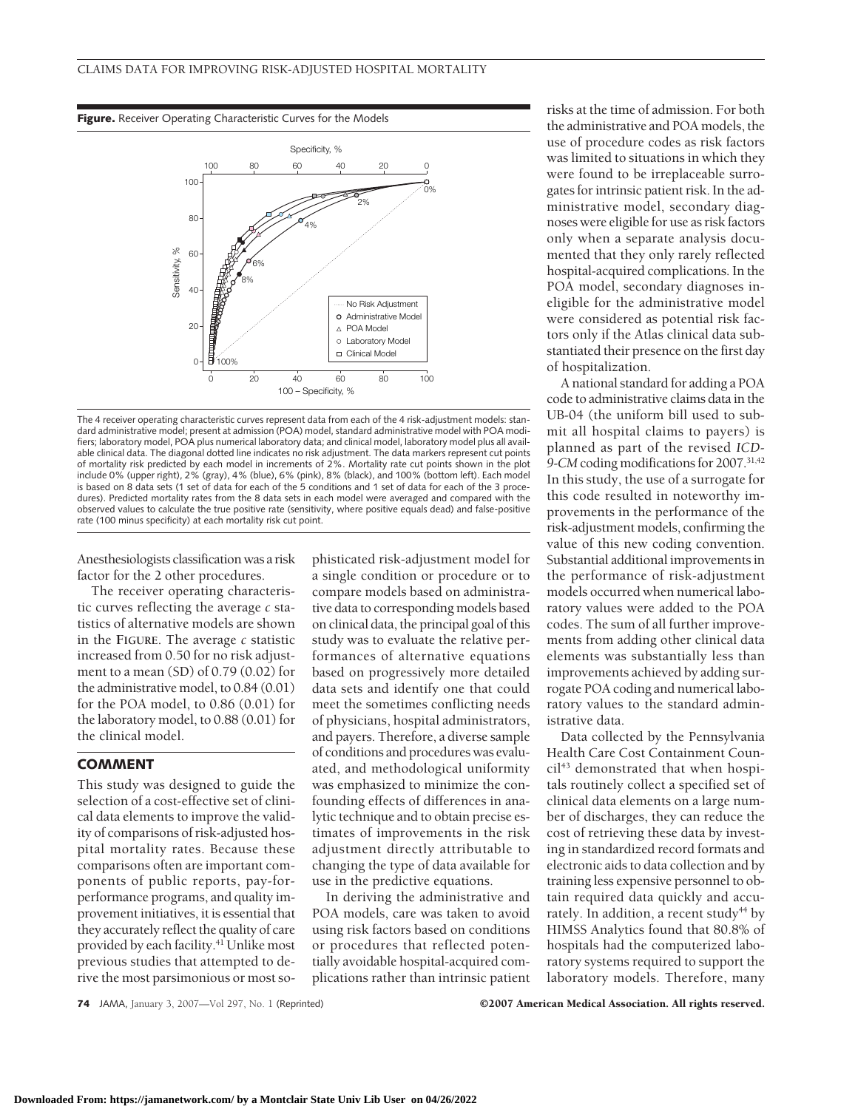



The 4 receiver operating characteristic curves represent data from each of the 4 risk-adjustment models: standard administrative model; present at admission (POA) model, standard administrative model with POA modifiers; laboratory model, POA plus numerical laboratory data; and clinical model, laboratory model plus all available clinical data. The diagonal dotted line indicates no risk adjustment. The data markers represent cut points of mortality risk predicted by each model in increments of 2%. Mortality rate cut points shown in the plot include 0% (upper right), 2% (gray), 4% (blue), 6% (pink), 8% (black), and 100% (bottom left). Each model is based on 8 data sets (1 set of data for each of the 5 conditions and 1 set of data for each of the 3 procedures). Predicted mortality rates from the 8 data sets in each model were averaged and compared with the observed values to calculate the true positive rate (sensitivity, where positive equals dead) and false-positive rate (100 minus specificity) at each mortality risk cut point.

Anesthesiologists classification was a risk factor for the 2 other procedures.

The receiver operating characteristic curves reflecting the average *c* statistics of alternative models are shown in the **FIGURE**. The average *c* statistic increased from 0.50 for no risk adjustment to a mean (SD) of 0.79 (0.02) for the administrative model, to 0.84 (0.01) for the POA model, to 0.86 (0.01) for the laboratory model, to 0.88 (0.01) for the clinical model.

## **COMMENT**

This study was designed to guide the selection of a cost-effective set of clinical data elements to improve the validity of comparisons of risk-adjusted hospital mortality rates. Because these comparisons often are important components of public reports, pay-forperformance programs, and quality improvement initiatives, it is essential that they accurately reflect the quality of care provided by each facility.<sup>41</sup> Unlike most previous studies that attempted to derive the most parsimonious or most sophisticated risk-adjustment model for a single condition or procedure or to compare models based on administrative data to corresponding models based on clinical data, the principal goal of this study was to evaluate the relative performances of alternative equations based on progressively more detailed data sets and identify one that could meet the sometimes conflicting needs of physicians, hospital administrators, and payers. Therefore, a diverse sample of conditions and procedures was evaluated, and methodological uniformity was emphasized to minimize the confounding effects of differences in analytic technique and to obtain precise estimates of improvements in the risk adjustment directly attributable to changing the type of data available for use in the predictive equations.

In deriving the administrative and POA models, care was taken to avoid using risk factors based on conditions or procedures that reflected potentially avoidable hospital-acquired complications rather than intrinsic patient

risks at the time of admission. For both the administrative and POA models, the use of procedure codes as risk factors was limited to situations in which they were found to be irreplaceable surrogates for intrinsic patient risk. In the administrative model, secondary diagnoses were eligible for use as risk factors only when a separate analysis documented that they only rarely reflected hospital-acquired complications. In the POA model, secondary diagnoses ineligible for the administrative model were considered as potential risk factors only if the Atlas clinical data substantiated their presence on the first day of hospitalization.

A national standard for adding a POA code to administrative claims data in the UB-04 (the uniform bill used to submit all hospital claims to payers) is planned as part of the revised *ICD-9-CM* coding modifications for 2007.31,42 In this study, the use of a surrogate for this code resulted in noteworthy improvements in the performance of the risk-adjustment models, confirming the value of this new coding convention. Substantial additional improvements in the performance of risk-adjustment models occurred when numerical laboratory values were added to the POA codes. The sum of all further improvements from adding other clinical data elements was substantially less than improvements achieved by adding surrogate POA coding and numerical laboratory values to the standard administrative data.

Data collected by the Pennsylvania Health Care Cost Containment Council<sup>43</sup> demonstrated that when hospitals routinely collect a specified set of clinical data elements on a large number of discharges, they can reduce the cost of retrieving these data by investing in standardized record formats and electronic aids to data collection and by training less expensive personnel to obtain required data quickly and accurately. In addition, a recent study<sup>44</sup> by HIMSS Analytics found that 80.8% of hospitals had the computerized laboratory systems required to support the laboratory models. Therefore, many

74 JAMA, January 3, 2007—Vol 297, No. 1 (Reprinted) **C2007 American Medical Association. All rights reserved.**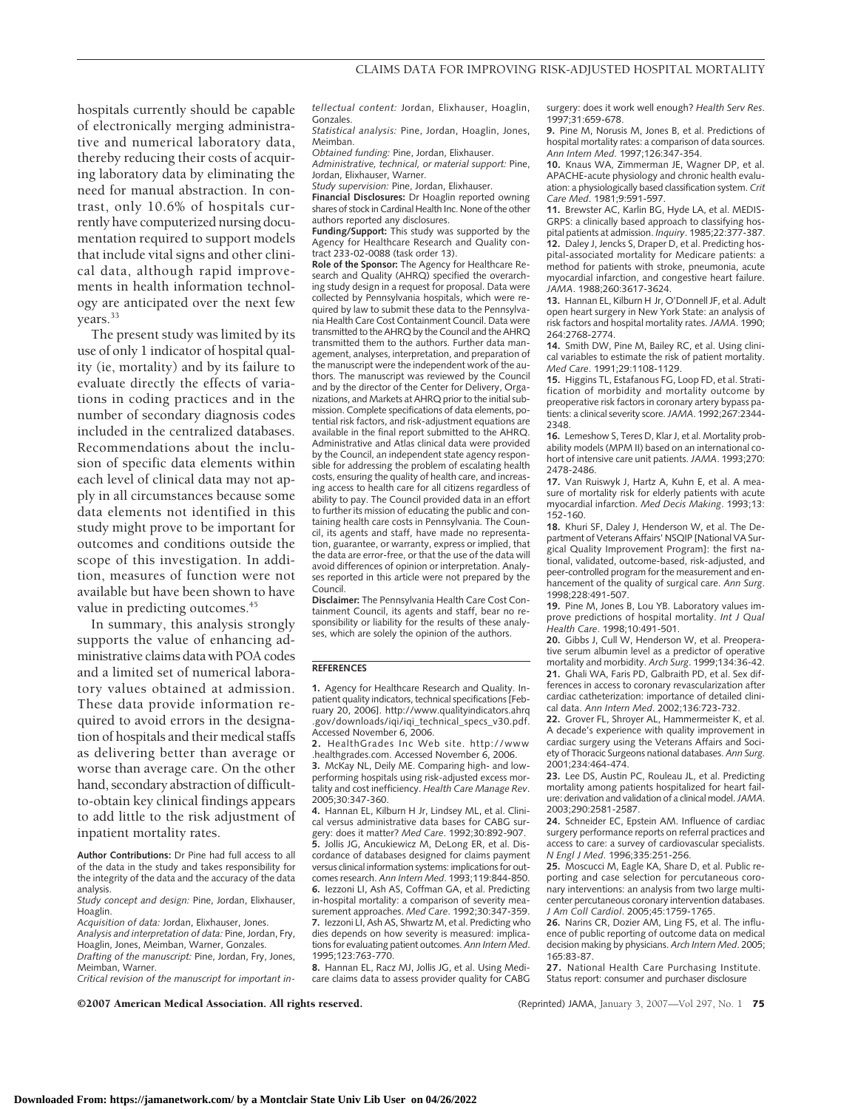hospitals currently should be capable of electronically merging administrative and numerical laboratory data, thereby reducing their costs of acquiring laboratory data by eliminating the need for manual abstraction. In contrast, only 10.6% of hospitals currently have computerized nursing documentation required to support models that include vital signs and other clinical data, although rapid improvements in health information technology are anticipated over the next few years.<sup>33</sup>

The present study was limited by its use of only 1 indicator of hospital quality (ie, mortality) and by its failure to evaluate directly the effects of variations in coding practices and in the number of secondary diagnosis codes included in the centralized databases. Recommendations about the inclusion of specific data elements within each level of clinical data may not apply in all circumstances because some data elements not identified in this study might prove to be important for outcomes and conditions outside the scope of this investigation. In addition, measures of function were not available but have been shown to have value in predicting outcomes.<sup>45</sup>

In summary, this analysis strongly supports the value of enhancing administrative claims data with POA codes and a limited set of numerical laboratory values obtained at admission. These data provide information required to avoid errors in the designation of hospitals and their medical staffs as delivering better than average or worse than average care. On the other hand, secondary abstraction of difficultto-obtain key clinical findings appears to add little to the risk adjustment of inpatient mortality rates.

**Author Contributions:** Dr Pine had full access to all of the data in the study and takes responsibility for the integrity of the data and the accuracy of the data analysis.

*Study concept and design:* Pine, Jordan, Elixhauser, Hoaglin.

*Acquisition of data:* Jordan, Elixhauser, Jones. *Analysis and interpretation of data:* Pine, Jordan, Fry, Hoaglin, Jones, Meimban, Warner, Gonzales.

*Drafting of the manuscript:* Pine, Jordan, Fry, Jones, Meimban, Warner.

*Critical revision of the manuscript for important in-*

*tellectual content:* Jordan, Elixhauser, Hoaglin, Gonzales.

*Statistical analysis:* Pine, Jordan, Hoaglin, Jones, Meimban.

*Obtained funding:* Pine, Jordan, Elixhauser. *Administrative, technical, or material support:* Pine,

Jordan, Elixhauser, Warner.

*Study supervision:* Pine, Jordan, Elixhauser.

**Financial Disclosures:** Dr Hoaglin reported owning shares of stock in Cardinal Health Inc. None of the other authors reported any disclosures.

**Funding/Support:** This study was supported by the Agency for Healthcare Research and Quality contract 233-02-0088 (task order 13).

**Role of the Sponsor:** The Agency for Healthcare Research and Quality (AHRQ) specified the overarching study design in a request for proposal. Data were collected by Pennsylvania hospitals, which were required by law to submit these data to the Pennsylvania Health Care Cost Containment Council. Data were transmitted to the AHRQ by the Council and the AHRQ transmitted them to the authors. Further data management, analyses, interpretation, and preparation of the manuscript were the independent work of the authors. The manuscript was reviewed by the Council and by the director of the Center for Delivery, Organizations, and Markets at AHRQ prior to the initial submission. Complete specifications of data elements, potential risk factors, and risk-adjustment equations are available in the final report submitted to the AHRQ. Administrative and Atlas clinical data were provided by the Council, an independent state agency responsible for addressing the problem of escalating health costs, ensuring the quality of health care, and increasing access to health care for all citizens regardless of ability to pay. The Council provided data in an effort to further its mission of educating the public and containing health care costs in Pennsylvania. The Council, its agents and staff, have made no representation, guarantee, or warranty, express or implied, that the data are error-free, or that the use of the data will avoid differences of opinion or interpretation. Analyses reported in this article were not prepared by the Council.

**Disclaimer:** The Pennsylvania Health Care Cost Containment Council, its agents and staff, bear no responsibility or liability for the results of these analyses, which are solely the opinion of the authors.

#### **REFERENCES**

**1.** Agency for Healthcare Research and Quality. Inpatient quality indicators, technical specifications [February 20, 2006]. http://www.qualityindicators.ahrq .gov/downloads/iqi/iqi\_technical\_specs\_v30.pdf. Accessed November 6, 2006.

**2.** HealthGrades Inc Web site. http://www .healthgrades.com. Accessed November 6, 2006.

**3.** McKay NL, Deily ME. Comparing high- and lowperforming hospitals using risk-adjusted excess mortality and cost inefficiency. *Health Care Manage Rev*. 2005;30:347-360.

**4.** Hannan EL, Kilburn H Jr, Lindsey ML, et al. Clinical versus administrative data bases for CABG surgery: does it matter? *Med Care*. 1992;30:892-907. **5.** Jollis JG, Ancukiewicz M, DeLong ER, et al. Discordance of databases designed for claims payment versus clinical information systems: implications for outcomes research. *Ann Intern Med*. 1993;119:844-850. **6.** Iezzoni LI, Ash AS, Coffman GA, et al. Predicting in-hospital mortality: a comparison of severity measurement approaches. *Med Care*. 1992;30:347-359. **7.** Iezzoni LI, Ash AS, Shwartz M, et al. Predicting who dies depends on how severity is measured: implications for evaluating patient outcomes. *Ann Intern Med*. 1995;123:763-770.

**8.** Hannan EL, Racz MJ, Jollis JG, et al. Using Medicare claims data to assess provider quality for CABG surgery: does it work well enough? *Health Serv Res*. 1997;31:659-678.

**9.** Pine M, Norusis M, Jones B, et al. Predictions of hospital mortality rates: a comparison of data sources. *Ann Intern Med*. 1997;126:347-354.

**10.** Knaus WA, Zimmerman JE, Wagner DP, et al. APACHE-acute physiology and chronic health evaluation: a physiologically based classification system. *Crit Care Med*. 1981;9:591-597.

**11.** Brewster AC, Karlin BG, Hyde LA, et al. MEDIS-GRPS: a clinically based approach to classifying hospital patients at admission. *Inquiry*. 1985;22:377-387. **12.** Daley J, Jencks S, Draper D, et al. Predicting hospital-associated mortality for Medicare patients: a method for patients with stroke, pneumonia, acute myocardial infarction, and congestive heart failure. *JAMA*. 1988;260:3617-3624.

**13.** Hannan EL, Kilburn H Jr, O'Donnell JF, et al. Adult open heart surgery in New York State: an analysis of risk factors and hospital mortality rates. *JAMA*. 1990; 264:2768-2774.

**14.** Smith DW, Pine M, Bailey RC, et al. Using clinical variables to estimate the risk of patient mortality. *Med Care*. 1991;29:1108-1129.

**15.** Higgins TL, Estafanous FG, Loop FD, et al. Stratification of morbidity and mortality outcome by preoperative risk factors in coronary artery bypass patients: a clinical severity score.*JAMA*. 1992;267:2344- 2348.

**16.** Lemeshow S, Teres D, Klar J, et al. Mortality probability models (MPM II) based on an international cohort of intensive care unit patients. *JAMA*. 1993;270: 2478-2486.

**17.** Van Ruiswyk J, Hartz A, Kuhn E, et al. A measure of mortality risk for elderly patients with acute myocardial infarction. *Med Decis Making*. 1993;13: 152-160.

**18.** Khuri SF, Daley J, Henderson W, et al. The Department of Veterans Affairs' NSQIP [National VA Surgical Quality Improvement Program]: the first national, validated, outcome-based, risk-adjusted, and peer-controlled program for the measurement and enhancement of the quality of surgical care. *Ann Surg*. 1998;228:491-507.

**19.** Pine M, Jones B, Lou YB. Laboratory values improve predictions of hospital mortality. *Int J Qual Health Care*. 1998;10:491-501.

**20.** Gibbs J, Cull W, Henderson W, et al. Preoperative serum albumin level as a predictor of operative mortality and morbidity. *Arch Surg*. 1999;134:36-42.

**21.** Ghali WA, Faris PD, Galbraith PD, et al. Sex differences in access to coronary revascularization after cardiac catheterization: importance of detailed clinical data. *Ann Intern Med*. 2002;136:723-732.

**22.** Grover FL, Shroyer AL, Hammermeister K, et al. A decade's experience with quality improvement in cardiac surgery using the Veterans Affairs and Society of Thoracic Surgeons national databases. *Ann Surg*. 2001;234:464-474.

**23.** Lee DS, Austin PC, Rouleau JL, et al. Predicting mortality among patients hospitalized for heart failure: derivation and validation of a clinical model.*JAMA*. 2003;290:2581-2587.

**24.** Schneider EC, Epstein AM. Influence of cardiac surgery performance reports on referral practices and access to care: a survey of cardiovascular specialists. *N Engl J Med*. 1996;335:251-256.

**25.** Moscucci M, Eagle KA, Share D, et al. Public reporting and case selection for percutaneous coronary interventions: an analysis from two large multicenter percutaneous coronary intervention databases. *J Am Coll Cardiol*. 2005;45:1759-1765.

**26.** Narins CR, Dozier AM, Ling FS, et al. The influence of public reporting of outcome data on medical decision making by physicians. *Arch Intern Med*. 2005; 165:83-87.

**27.** National Health Care Purchasing Institute. Status report: consumer and purchaser disclosure

©2007 American Medical Association. All rights reserved. (Reprinted) JAMA, January 3, 2007—Vol 297, No. 1 **75**